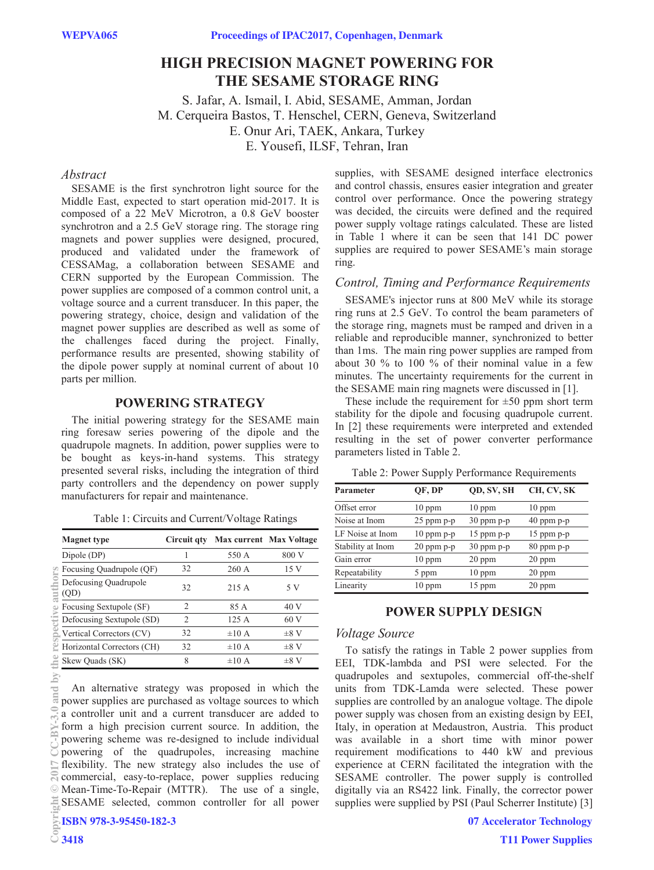# **HIGH PRECISION MAGNET POWERING FOR THE SESAME STORAGE RING**

S. Jafar, A. Ismail, I. Abid, SESAME, Amman, Jordan M. Cerqueira Bastos, T. Henschel, CERN, Geneva, Switzerland E. Onur Ari, TAEK, Ankara, Turkey E. Yousefi, ILSF, Tehran, Iran

# *Abstract*

SESAME is the first synchrotron light source for the Middle East, expected to start operation mid-2017. It is composed of a 22 MeV Microtron, a 0.8 GeV booster synchrotron and a 2.5 GeV storage ring. The storage ring magnets and power supplies were designed, procured, produced and validated under the framework of CESSAMag, a collaboration between SESAME and CERN supported by the European Commission. The power supplies are composed of a common control unit, a voltage source and a current transducer. In this paper, the powering strategy, choice, design and validation of the magnet power supplies are described as well as some of the challenges faced during the project. Finally, performance results are presented, showing stability of the dipole power supply at nominal current of about 10 parts per million.

# **POWERING STRATEGY**

The initial powering strategy for the SESAME main ring foresaw series powering of the dipole and the quadrupole magnets. In addition, power supplies were to be bought as keys-in-hand systems. This strategy presented several risks, including the integration of third party controllers and the dependency on power supply manufacturers for repair and maintenance.

| <b>Magnet type</b>                            |  | Circuit gty Max current Max Voltage |  |  |  |
|-----------------------------------------------|--|-------------------------------------|--|--|--|
| Table 1: Circuits and Current/Voltage Ratings |  |                                     |  |  |  |

| Dipole (DP)                   |    | 550 A      | 800 V     |
|-------------------------------|----|------------|-----------|
| Focusing Quadrupole (QF)      | 32 | 260A       | 15 V      |
| Defocusing Quadrupole<br>(QD) | 32 | 215 A      | 5 V       |
| Focusing Sextupole (SF)       | 2  | 85 A       | 40 V      |
| Defocusing Sextupole (SD)     | 2  | 125 A      | 60 V      |
| Vertical Correctors (CV)      | 32 | $\pm 10$ A | $\pm 8$ V |
| Horizontal Correctors (CH)    | 32 | $\pm 10$ A | $\pm 8$ V |
| Skew Quads (SK)               |    | $\pm 10$ A | $\pm 8$ V |

the.  $\overline{5}$ 

An alternative strategy was proposed in which the power supplies are purchased as voltage sources to which a controller unit and a current transducer are added to form a high precision current source. In addition, the powering scheme was re-designed to include individual powering of the quadrupoles, increasing machine flexibility. The new strategy also includes the use of commercial, easy-to-replace, power supplies reducing Mean-Time-To-Repair (MTTR). The use of a single, SESAME selected, common controller for all power **ISBN 978-3-95450-182-3 2017 CC-BY-3.0 and by the respective authors**

supplies, with SESAME designed interface electronics and control chassis, ensures easier integration and greater control over performance. Once the powering strategy was decided, the circuits were defined and the required power supply voltage ratings calculated. These are listed in Table 1 where it can be seen that 141 DC power supplies are required to power SESAME's main storage ring.

#### *Control, Timing and Performance Requirements*

SESAME's injector runs at 800 MeV while its storage ring runs at 2.5 GeV. To control the beam parameters of the storage ring, magnets must be ramped and driven in a reliable and reproducible manner, synchronized to better than 1ms. The main ring power supplies are ramped from about 30 % to 100 % of their nominal value in a few minutes. The uncertainty requirements for the current in the SESAME main ring magnets were discussed in [1].

These include the requirement for  $\pm 50$  ppm short term stability for the dipole and focusing quadrupole current. In [2] these requirements were interpreted and extended resulting in the set of power converter performance parameters listed in Table 2.

Table 2: Power Supply Performance Requirements

| <b>Parameter</b>  | QF, DP         | QD, SV, SH     | CH, CV, SK     |
|-------------------|----------------|----------------|----------------|
| Offset error      | $10$ ppm       | $10$ ppm       | $10$ ppm       |
| Noise at Inom     | $25$ ppm $p-p$ | 30 ppm p-p     | $40$ ppm $p-p$ |
| LF Noise at Inom  | $10$ ppm $p-p$ | 15 ppm p-p     | $15$ ppm $p-p$ |
| Stability at Inom | $20$ ppm $p-p$ | $30$ ppm $p-p$ | $80$ ppm $p-p$ |
| Gain error        | $10$ ppm       | 20 ppm         | $20$ ppm       |
| Repeatability     | 5 ppm          | $10$ ppm       | $20$ ppm       |
| Linearity         | $10$ ppm       | $15$ ppm       | $20$ ppm       |

# **POWER SUPPLY DESIGN**

## *Voltage Source*

To satisfy the ratings in Table 2 power supplies from EEI, TDK-lambda and PSI were selected. For the quadrupoles and sextupoles, commercial off-the-shelf units from TDK-Lamda were selected. These power supplies are controlled by an analogue voltage. The dipole power supply was chosen from an existing design by EEI, Italy, in operation at Medaustron, Austria. This product was available in a short time with minor power requirement modifications to 440 kW and previous experience at CERN facilitated the integration with the SESAME controller. The power supply is controlled digitally via an RS422 link. Finally, the corrector power supplies were supplied by PSI (Paul Scherrer Institute) [3]

**07 Accelerator Technology**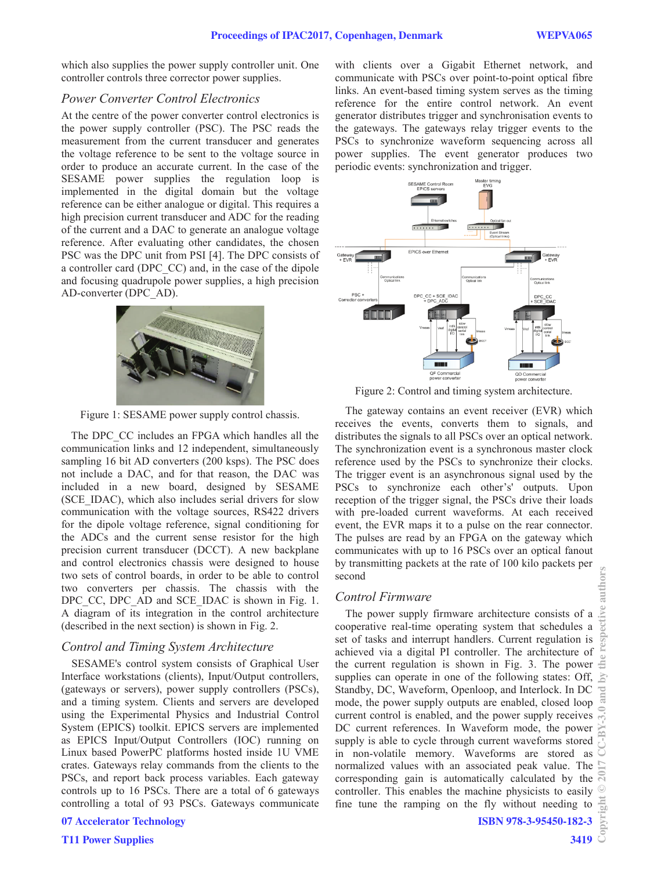which also supplies the power supply controller unit. One controller controls three corrector power supplies.

#### *Power Converter Control Electronics*

At the centre of the power converter control electronics is the power supply controller (PSC). The PSC reads the measurement from the current transducer and generates the voltage reference to be sent to the voltage source in order to produce an accurate current. In the case of the SESAME power supplies the regulation loop is implemented in the digital domain but the voltage reference can be either analogue or digital. This requires a high precision current transducer and ADC for the reading of the current and a DAC to generate an analogue voltage reference. After evaluating other candidates, the chosen PSC was the DPC unit from PSI [4]. The DPC consists of a controller card (DPC\_CC) and, in the case of the dipole and focusing quadrupole power supplies, a high precision AD-converter (DPC\_AD).



Figure 1: SESAME power supply control chassis.

The DPC CC includes an FPGA which handles all the communication links and 12 independent, simultaneously sampling 16 bit AD converters (200 ksps). The PSC does not include a DAC, and for that reason, the DAC was included in a new board, designed by SESAME (SCE\_IDAC), which also includes serial drivers for slow communication with the voltage sources, RS422 drivers for the dipole voltage reference, signal conditioning for the ADCs and the current sense resistor for the high precision current transducer (DCCT). A new backplane and control electronics chassis were designed to house two sets of control boards, in order to be able to control two converters per chassis. The chassis with the DPC CC, DPC AD and SCE\_IDAC is shown in Fig. 1. A diagram of its integration in the control architecture (described in the next section) is shown in Fig. 2.

## *Control and Timing System Architecture*

SESAME's control system consists of Graphical User Interface workstations (clients), Input/Output controllers, (gateways or servers), power supply controllers (PSCs), and a timing system. Clients and servers are developed using the Experimental Physics and Industrial Control System (EPICS) toolkit. EPICS servers are implemented as EPICS Input/Output Controllers (IOC) running on Linux based PowerPC platforms hosted inside 1U VME crates. Gateways relay commands from the clients to the PSCs, and report back process variables. Each gateway controls up to 16 PSCs. There are a total of 6 gateways controlling a total of 93 PSCs. Gateways communicate

```
07 Accelerator Technology
```
**T11 Power Supplies**

with clients over a Gigabit Ethernet network, and communicate with PSCs over point-to-point optical fibre links. An event-based timing system serves as the timing reference for the entire control network. An event generator distributes trigger and synchronisation events to the gateways. The gateways relay trigger events to the PSCs to synchronize waveform sequencing across all power supplies. The event generator produces two periodic events: synchronization and trigger.



Figure 2: Control and timing system architecture.

The gateway contains an event receiver (EVR) which receives the events, converts them to signals, and distributes the signals to all PSCs over an optical network. The synchronization event is a synchronous master clock reference used by the PSCs to synchronize their clocks. The trigger event is an asynchronous signal used by the PSCs to synchronize each other's' outputs. Upon reception of the trigger signal, the PSCs drive their loads with pre-loaded current waveforms. At each received event, the EVR maps it to a pulse on the rear connector. The pulses are read by an FPGA on the gateway which communicates with up to 16 PSCs over an optical fanout by transmitting packets at the rate of 100 kilo packets per second

#### *Control Firmware*

The power supply firmware architecture consists of a cooperative real-time operating system that schedules a set of tasks and interrupt handlers. Current regulation is achieved via a digital PI controller. The architecture of the current regulation is shown in Fig. 3. The power supplies can operate in one of the following states: Off, Standby, DC, Waveform, Openloop, and Interlock. In DC mode, the power supply outputs are enabled, closed loop current control is enabled, and the power supply receives DC current references. In Waveform mode, the power supply is able to cycle through current waveforms stored in non-volatile memory. Waveforms are stored as normalized values with an associated peak value. The corresponding gain is automatically calculated by the  $\overline{N}$ controller. This enables the machine physicists to easily fine tune the ramping on the fly without needing to **©2017 CC-BY-3.0 and by the respective authors**

authors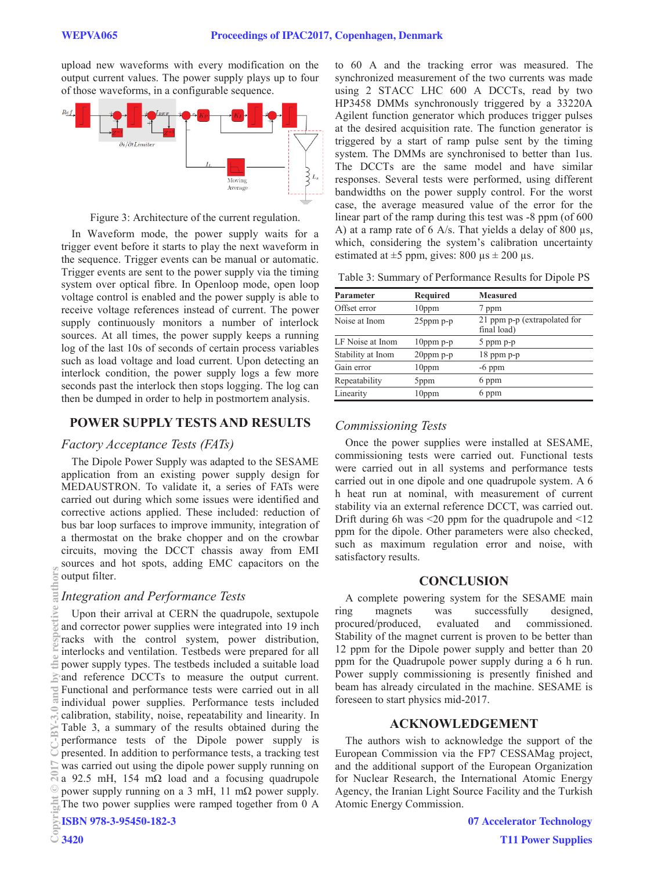upload new waveforms with every modification on the output current values. The power supply plays up to four of those waveforms, in a configurable sequence.



Figure 3: Architecture of the current regulation.

In Waveform mode, the power supply waits for a trigger event before it starts to play the next waveform in the sequence. Trigger events can be manual or automatic. Trigger events are sent to the power supply via the timing system over optical fibre. In Openloop mode, open loop voltage control is enabled and the power supply is able to receive voltage references instead of current. The power supply continuously monitors a number of interlock sources. At all times, the power supply keeps a running log of the last 10s of seconds of certain process variables such as load voltage and load current. Upon detecting an interlock condition, the power supply logs a few more seconds past the interlock then stops logging. The log can then be dumped in order to help in postmortem analysis.

# **POWER SUPPLY TESTS AND RESULTS**

#### *Factory Acceptance Tests (FATs)*

The Dipole Power Supply was adapted to the SESAME application from an existing power supply design for MEDAUSTRON. To validate it, a series of FATs were carried out during which some issues were identified and corrective actions applied. These included: reduction of bus bar loop surfaces to improve immunity, integration of a thermostat on the brake chopper and on the crowbar circuits, moving the DCCT chassis away from EMI sources and hot spots, adding EMC capacitors on the output filter.

#### *Integration and Performance Tests*

Upon their arrival at CERN the quadrupole, sextupole and corrector power supplies were integrated into 19 inch racks with the control system, power distribution, interlocks and ventilation. Testbeds were prepared for all power supply types. The testbeds included a suitable load and reference DCCTs to measure the output current. Functional and performance tests were carried out in all individual power supplies. Performance tests included calibration, stability, noise, repeatability and linearity. In Table 3, a summary of the results obtained during the performance tests of the Dipole power supply is presented. In addition to performance tests, a tracking test was carried out using the dipole power supply running on a 92.5 mH, 154 mΩ load and a focusing quadrupole power supply running on a 3 mH, 11 m $\Omega$  power supply. The two power supplies were ramped together from 0 A

**ISBN 978-3-95450-182-3**

to 60 A and the tracking error was measured. The synchronized measurement of the two currents was made using 2 STACC LHC 600 A DCCTs, read by two HP3458 DMMs synchronously triggered by a 33220A Agilent function generator which produces trigger pulses at the desired acquisition rate. The function generator is triggered by a start of ramp pulse sent by the timing system. The DMMs are synchronised to better than 1us. The DCCTs are the same model and have similar responses. Several tests were performed, using different bandwidths on the power supply control. For the worst case, the average measured value of the error for the linear part of the ramp during this test was -8 ppm (of 600 A) at a ramp rate of 6 A/s. That yields a delay of 800 μs,

Table 3: Summary of Performance Results for Dipole PS

which, considering the system's calibration uncertainty

estimated at  $\pm$ 5 ppm, gives: 800 μs  $\pm$  200 μs.

| Parameter         | Required     | <b>Measured</b>                             |
|-------------------|--------------|---------------------------------------------|
| Offset error      | $10$ ppm     | 7 ppm                                       |
| Noise at Inom     | $25$ ppm p-p | 21 ppm p-p (extrapolated for<br>final load) |
| LF Noise at Inom  | $10$ ppm p-p | $5$ ppm $p-p$                               |
| Stability at Inom | $20$ ppm p-p | $18$ ppm $p-p$                              |
| Gain error        | $10$ ppm     | $-6$ ppm                                    |
| Repeatability     | 5ppm         | 6 ppm                                       |
| Linearity         | $10$ ppm     | 6 ppm                                       |

# *Commissioning Tests*

Once the power supplies were installed at SESAME, commissioning tests were carried out. Functional tests were carried out in all systems and performance tests carried out in one dipole and one quadrupole system. A 6 h heat run at nominal, with measurement of current stability via an external reference DCCT, was carried out. Drift during 6h was  $\leq$  20 ppm for the quadrupole and  $\leq$  12 ppm for the dipole. Other parameters were also checked, such as maximum regulation error and noise, with satisfactory results.

# **CONCLUSION**

A complete powering system for the SESAME main ring magnets was successfully designed, procured/produced, evaluated and commissioned. Stability of the magnet current is proven to be better than 12 ppm for the Dipole power supply and better than 20 ppm for the Quadrupole power supply during a 6 h run. Power supply commissioning is presently finished and beam has already circulated in the machine. SESAME is foreseen to start physics mid-2017.

#### **ACKNOWLEDGEMENT**

The authors wish to acknowledge the support of the European Commission via the FP7 CESSAMag project, and the additional support of the European Organization for Nuclear Research, the International Atomic Energy Agency, the Iranian Light Source Facility and the Turkish Atomic Energy Commission.

hors ant